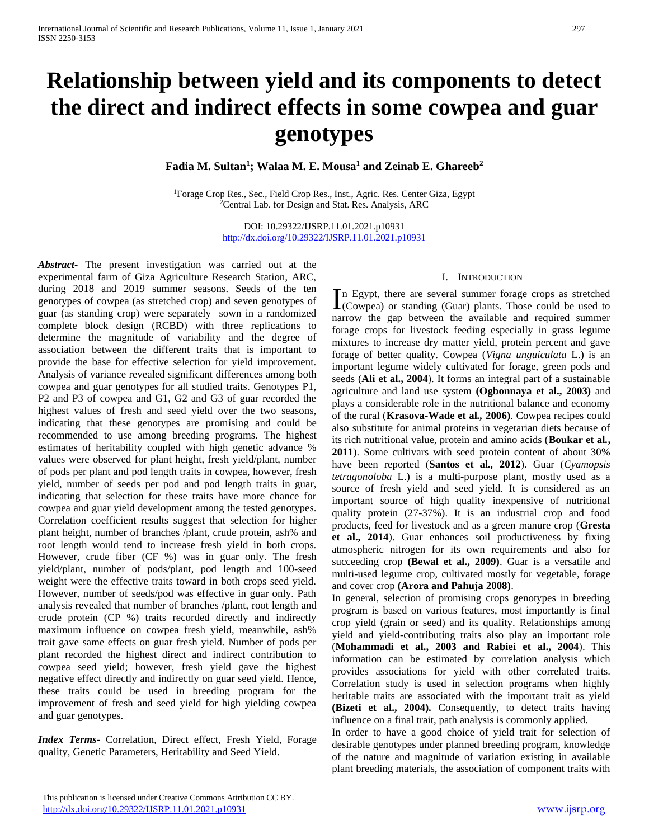# **Relationship between yield and its components to detect the direct and indirect effects in some cowpea and guar genotypes**

**Fadia M. Sultan<sup>1</sup> ; Walaa M. E. Mousa<sup>1</sup> and Zeinab E. Ghareeb<sup>2</sup>**

<sup>1</sup>Forage Crop Res., Sec., Field Crop Res., Inst., Agric. Res. Center Giza, Egypt <sup>2</sup>Central Lab. for Design and Stat. Res. Analysis, ARC

> DOI: 10.29322/IJSRP.11.01.2021.p10931 <http://dx.doi.org/10.29322/IJSRP.11.01.2021.p10931>

*Abstract***-** The present investigation was carried out at the experimental farm of Giza Agriculture Research Station, ARC, during 2018 and 2019 summer seasons. Seeds of the ten genotypes of cowpea (as stretched crop) and seven genotypes of guar (as standing crop) were separately sown in a randomized complete block design (RCBD) with three replications to determine the magnitude of variability and the degree of association between the different traits that is important to provide the base for effective selection for yield improvement. Analysis of variance revealed significant differences among both cowpea and guar genotypes for all studied traits. Genotypes P1, P2 and P3 of cowpea and G1, G2 and G3 of guar recorded the highest values of fresh and seed yield over the two seasons, indicating that these genotypes are promising and could be recommended to use among breeding programs. The highest estimates of heritability coupled with high genetic advance % values were observed for plant height, fresh yield/plant, number of pods per plant and pod length traits in cowpea, however, fresh yield, number of seeds per pod and pod length traits in guar, indicating that selection for these traits have more chance for cowpea and guar yield development among the tested genotypes. Correlation coefficient results suggest that selection for higher plant height, number of branches /plant, crude protein, ash% and root length would tend to increase fresh yield in both crops. However, crude fiber (CF %) was in guar only. The fresh yield/plant, number of pods/plant, pod length and 100-seed weight were the effective traits toward in both crops seed yield. However, number of seeds/pod was effective in guar only. Path analysis revealed that number of branches /plant, root length and crude protein (CP %) traits recorded directly and indirectly maximum influence on cowpea fresh yield, meanwhile, ash% trait gave same effects on guar fresh yield. Number of pods per plant recorded the highest direct and indirect contribution to cowpea seed yield; however, fresh yield gave the highest negative effect directly and indirectly on guar seed yield. Hence, these traits could be used in breeding program for the improvement of fresh and seed yield for high yielding cowpea and guar genotypes.

*Index Terms*- Correlation, Direct effect, Fresh Yield, Forage quality, Genetic Parameters, Heritability and Seed Yield.

#### I. INTRODUCTION

n Egypt, there are several summer forage crops as stretched In Egypt, there are several summer forage crops as stretched (Cowpea) or standing (Guar) plants. Those could be used to narrow the gap between the available and required summer forage crops for livestock feeding especially in grass–legume mixtures to increase dry matter yield, protein percent and gave forage of better quality. Cowpea (*Vigna unguiculata* L.) is an important legume widely cultivated for forage, green pods and seeds (**Ali et al., 2004**). It forms an integral part of a sustainable agriculture and land use system **(Ogbonnaya et al., 2003)** and plays a considerable role in the nutritional balance and economy of the rural (**Krasova-Wade et al***.,* **2006)**. Cowpea recipes could also substitute for animal proteins in vegetarian diets because of its rich nutritional value, protein and amino acids (**Boukar et al***.***, 2011**). Some cultivars with seed protein content of about 30% have been reported (**Santos et al***.,* **2012**). Guar (*Cyamopsis tetragonoloba* L.) is a multi-purpose plant, mostly used as a source of fresh yield and seed yield. It is considered as an important source of high quality inexpensive of nutritional quality protein (27-37%). It is an industrial crop and food products, feed for livestock and as a green manure crop (**Gresta et al., 2014**). Guar enhances soil productiveness by fixing atmospheric nitrogen for its own requirements and also for succeeding crop **(Bewal et al., 2009)**. Guar is a versatile and multi-used legume crop, cultivated mostly for vegetable, forage and cover crop **(Arora and Pahuja 2008)**.

In general, selection of promising crops genotypes in breeding program is based on various features, most importantly is final crop yield (grain or seed) and its quality. Relationships among yield and yield-contributing traits also play an important role (**Mohammadi et al., 2003 and Rabiei et al., 2004**). This information can be estimated by correlation analysis which provides associations for yield with other correlated traits. Correlation study is used in selection programs when highly heritable traits are associated with the important trait as yield **(Bizeti et al., 2004).** Consequently, to detect traits having influence on a final trait, path analysis is commonly applied.

In order to have a good choice of yield trait for selection of desirable genotypes under planned breeding program, knowledge of the nature and magnitude of variation existing in available plant breeding materials, the association of component traits with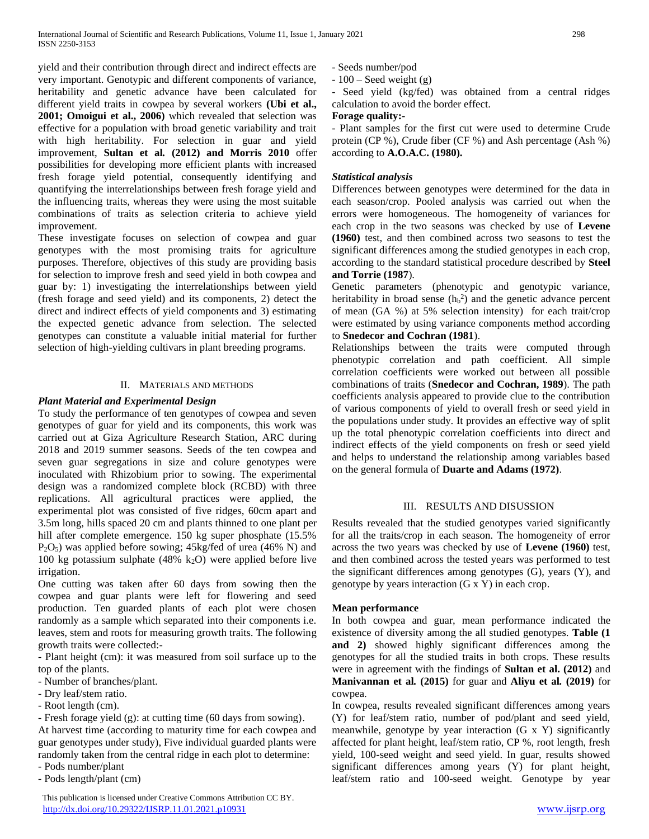yield and their contribution through direct and indirect effects are very important. Genotypic and different components of variance, heritability and genetic advance have been calculated for different yield traits in cowpea by several workers **(Ubi et al., 2001; Omoigui et al., 2006)** which revealed that selection was effective for a population with broad genetic variability and trait with high heritability. For selection in guar and yield improvement, **Sultan et al***.* **(2012) and Morris 2010** offer possibilities for developing more efficient plants with increased fresh forage yield potential, consequently identifying and quantifying the interrelationships between fresh forage yield and the influencing traits, whereas they were using the most suitable combinations of traits as selection criteria to achieve yield improvement.

These investigate focuses on selection of cowpea and guar genotypes with the most promising traits for agriculture purposes. Therefore, objectives of this study are providing basis for selection to improve fresh and seed yield in both cowpea and guar by: 1) investigating the interrelationships between yield (fresh forage and seed yield) and its components, 2) detect the direct and indirect effects of yield components and 3) estimating the expected genetic advance from selection. The selected genotypes can constitute a valuable initial material for further selection of high-yielding cultivars in plant breeding programs.

## II. MATERIALS AND METHODS

## *Plant Material and Experimental Design*

To study the performance of ten genotypes of cowpea and seven genotypes of guar for yield and its components, this work was carried out at Giza Agriculture Research Station, ARC during 2018 and 2019 summer seasons. Seeds of the ten cowpea and seven guar segregations in size and colure genotypes were inoculated with Rhizobium prior to sowing. The experimental design was a randomized complete block (RCBD) with three replications. All agricultural practices were applied, the experimental plot was consisted of five ridges, 60cm apart and 3.5m long, hills spaced 20 cm and plants thinned to one plant per hill after complete emergence. 150 kg super phosphate (15.5%) P2O5) was applied before sowing; 45kg/fed of urea (46% N) and 100 kg potassium sulphate (48% k<sub>2</sub>O) were applied before live irrigation.

One cutting was taken after 60 days from sowing then the cowpea and guar plants were left for flowering and seed production. Ten guarded plants of each plot were chosen randomly as a sample which separated into their components i.e. leaves, stem and roots for measuring growth traits. The following growth traits were collected:-

- Plant height (cm): it was measured from soil surface up to the top of the plants.

- Number of branches/plant.

- Dry leaf/stem ratio.
- Root length (cm).

- Fresh forage yield (g): at cutting time (60 days from sowing).

At harvest time (according to maturity time for each cowpea and guar genotypes under study), Five individual guarded plants were randomly taken from the central ridge in each plot to determine: - Pods number/plant

- Pods length/plant (cm)

 This publication is licensed under Creative Commons Attribution CC BY. <http://dx.doi.org/10.29322/IJSRP.11.01.2021.p10931> [www.ijsrp.org](http://ijsrp.org/)

- Seeds number/pod

 $-100$  – Seed weight (g)

- Seed yield (kg/fed) was obtained from a central ridges calculation to avoid the border effect.

# **Forage quality:-**

- Plant samples for the first cut were used to determine Crude protein (CP %), Crude fiber (CF %) and Ash percentage (Ash %) according to **A.O.A.C. (1980).**

# *Statistical analysis*

Differences between genotypes were determined for the data in each season/crop. Pooled analysis was carried out when the errors were homogeneous. The homogeneity of variances for each crop in the two seasons was checked by use of **Levene (1960)** test, and then combined across two seasons to test the significant differences among the studied genotypes in each crop, according to the standard statistical procedure described by **Steel and Torrie (1987**).

Genetic parameters (phenotypic and genotypic variance, heritability in broad sense  $(h_b^2)$  and the genetic advance percent of mean (GA %) at 5% selection intensity) for each trait/crop were estimated by using variance components method according to **Snedecor and Cochran (1981**).

Relationships between the traits were computed through phenotypic correlation and path coefficient. All simple correlation coefficients were worked out between all possible combinations of traits (**Snedecor and Cochran, 1989**). The path coefficients analysis appeared to provide clue to the contribution of various components of yield to overall fresh or seed yield in the populations under study. It provides an effective way of split up the total phenotypic correlation coefficients into direct and indirect effects of the yield components on fresh or seed yield and helps to understand the relationship among variables based on the general formula of **Duarte and Adams (1972)**.

# III. RESULTS AND DISUSSION

Results revealed that the studied genotypes varied significantly for all the traits/crop in each season. The homogeneity of error across the two years was checked by use of **Levene (1960)** test, and then combined across the tested years was performed to test the significant differences among genotypes (G), years (Y), and genotype by years interaction (G x Y) in each crop.

# **Mean performance**

In both cowpea and guar, mean performance indicated the existence of diversity among the all studied genotypes. **Table (1 and 2)** showed highly significant differences among the genotypes for all the studied traits in both crops. These results were in agreement with the findings of **Sultan et al. (2012)** and **Manivannan et al***.* **(2015)** for guar and **Aliyu et al***.* **(2019)** for cowpea.

In cowpea, results revealed significant differences among years (Y) for leaf/stem ratio, number of pod/plant and seed yield, meanwhile, genotype by year interaction (G x Y) significantly affected for plant height, leaf/stem ratio, CP %, root length, fresh yield, 100-seed weight and seed yield. In guar, results showed significant differences among years (Y) for plant height, leaf/stem ratio and 100-seed weight. Genotype by year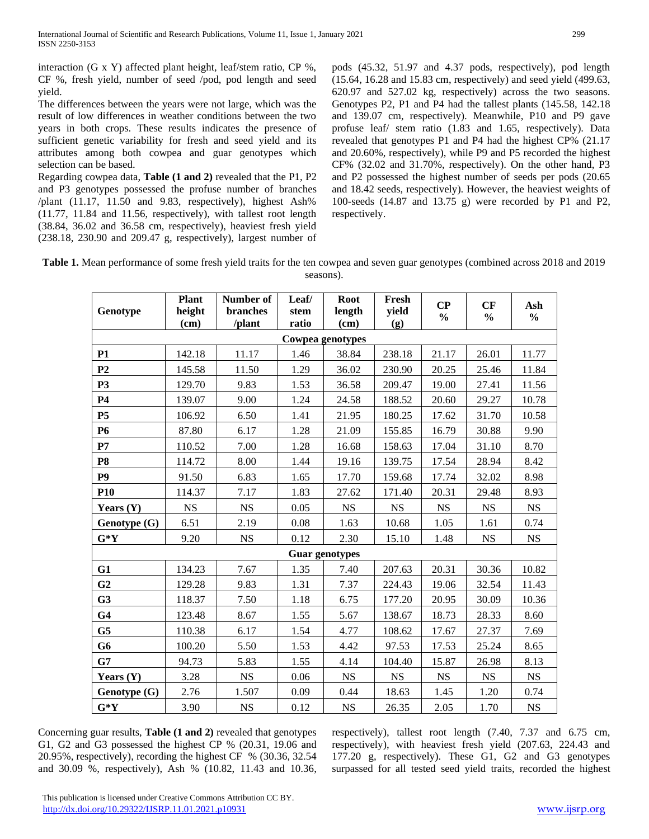interaction (G x Y) affected plant height, leaf/stem ratio, CP %, CF %, fresh yield, number of seed /pod, pod length and seed yield.

The differences between the years were not large, which was the result of low differences in weather conditions between the two years in both crops. These results indicates the presence of sufficient genetic variability for fresh and seed yield and its attributes among both cowpea and guar genotypes which selection can be based.

Regarding cowpea data, **Table (1 and 2)** revealed that the P1, P2 and P3 genotypes possessed the profuse number of branches /plant (11.17, 11.50 and 9.83, respectively), highest Ash% (11.77, 11.84 and 11.56, respectively), with tallest root length (38.84, 36.02 and 36.58 cm, respectively), heaviest fresh yield (238.18, 230.90 and 209.47 g, respectively), largest number of

pods (45.32, 51.97 and 4.37 pods, respectively), pod length (15.64, 16.28 and 15.83 cm, respectively) and seed yield (499.63, 620.97 and 527.02 kg, respectively) across the two seasons. Genotypes P2, P1 and P4 had the tallest plants (145.58, 142.18 and 139.07 cm, respectively). Meanwhile, P10 and P9 gave profuse leaf/ stem ratio (1.83 and 1.65, respectively). Data revealed that genotypes P1 and P4 had the highest CP% (21.17 and 20.60%, respectively), while P9 and P5 recorded the highest CF% (32.02 and 31.70%, respectively). On the other hand, P3 and P2 possessed the highest number of seeds per pods (20.65 and 18.42 seeds, respectively). However, the heaviest weights of 100-seeds (14.87 and 13.75 g) were recorded by P1 and P2, respectively.

**Table 1.** Mean performance of some fresh yield traits for the ten cowpea and seven guar genotypes (combined across 2018 and 2019 seasons).

| Genotype         | <b>Plant</b><br>height<br>(cm) | Number of<br>branches<br>/plant | Leaf/<br>stem<br>ratio | <b>Root</b><br>length<br>(cm) | Fresh<br>yield<br>(g) | $\bf CP$<br>$\frac{0}{0}$ | CF<br>$\frac{0}{0}$ | Ash<br>$\frac{0}{0}$ |  |  |  |  |
|------------------|--------------------------------|---------------------------------|------------------------|-------------------------------|-----------------------|---------------------------|---------------------|----------------------|--|--|--|--|
| Cowpea genotypes |                                |                                 |                        |                               |                       |                           |                     |                      |  |  |  |  |
| <b>P1</b>        | 142.18                         | 11.17                           | 1.46                   | 38.84                         | 238.18                | 21.17                     | 26.01               | 11.77                |  |  |  |  |
| P <sub>2</sub>   | 145.58                         | 11.50                           | 1.29                   | 36.02                         | 230.90                | 20.25                     | 25.46               | 11.84                |  |  |  |  |
| P <sub>3</sub>   | 129.70                         | 9.83                            | 1.53                   | 36.58                         | 209.47                | 19.00                     | 27.41               | 11.56                |  |  |  |  |
| <b>P4</b>        | 139.07                         | 9.00                            | 1.24                   | 24.58                         | 188.52                | 20.60                     | 29.27               | 10.78                |  |  |  |  |
| <b>P5</b>        | 106.92                         | 6.50                            | 1.41                   | 21.95                         | 180.25                | 17.62                     | 31.70               | 10.58                |  |  |  |  |
| P6               | 87.80                          | 6.17                            | 1.28                   | 21.09                         | 155.85                | 16.79                     | 30.88               | 9.90                 |  |  |  |  |
| $\mathbf{P}7$    | 110.52                         | 7.00                            | 1.28                   | 16.68                         | 158.63                | 17.04                     | 31.10               | 8.70                 |  |  |  |  |
| P <sub>8</sub>   | 114.72                         | 8.00                            | 1.44                   | 19.16                         | 139.75                | 17.54                     | 28.94               | 8.42                 |  |  |  |  |
| P <sub>9</sub>   | 91.50                          | 6.83                            | 1.65                   | 17.70                         | 159.68                | 17.74                     | 32.02               | 8.98                 |  |  |  |  |
| <b>P10</b>       | 114.37                         | 7.17                            | 1.83                   | 27.62                         | 171.40                | 20.31                     | 29.48               | 8.93                 |  |  |  |  |
| Years $(Y)$      | <b>NS</b>                      | <b>NS</b>                       | 0.05                   | <b>NS</b>                     | <b>NS</b>             | <b>NS</b>                 | <b>NS</b>           | <b>NS</b>            |  |  |  |  |
| Genotype (G)     | 6.51                           | 2.19                            | 0.08                   | 1.63                          | 10.68                 | 1.05                      | 1.61                | 0.74                 |  |  |  |  |
| $G*Y$            | 9.20                           | <b>NS</b>                       | 0.12                   | 2.30                          | 15.10                 | 1.48                      | $_{\rm NS}$         | <b>NS</b>            |  |  |  |  |
|                  |                                |                                 |                        | <b>Guar genotypes</b>         |                       |                           |                     |                      |  |  |  |  |
| G1               | 134.23                         | 7.67                            | 1.35                   | 7.40                          | 207.63                | 20.31                     | 30.36               | 10.82                |  |  |  |  |
| G <sub>2</sub>   | 129.28                         | 9.83                            | 1.31                   | 7.37                          | 224.43                | 19.06                     | 32.54               | 11.43                |  |  |  |  |
| G <sub>3</sub>   | 118.37                         | 7.50                            | 1.18                   | 6.75                          | 177.20                | 20.95                     | 30.09               | 10.36                |  |  |  |  |
| G <sub>4</sub>   | 123.48                         | 8.67                            | 1.55                   | 5.67                          | 138.67                | 18.73                     | 28.33               | 8.60                 |  |  |  |  |
| G <sub>5</sub>   | 110.38                         | 6.17                            | 1.54                   | 4.77                          | 108.62                | 17.67                     | 27.37               | 7.69                 |  |  |  |  |
| G <sub>6</sub>   | 100.20                         | 5.50                            | 1.53                   | 4.42                          | 97.53                 | 17.53                     | 25.24               | 8.65                 |  |  |  |  |
| G7               | 94.73                          | 5.83                            | 1.55                   | 4.14                          | 104.40                | 15.87                     | 26.98               | 8.13                 |  |  |  |  |
| Years $(Y)$      | 3.28                           | <b>NS</b>                       | 0.06                   | <b>NS</b>                     | NS                    | <b>NS</b>                 | NS                  | <b>NS</b>            |  |  |  |  |
| Genotype (G)     | 2.76                           | 1.507                           | 0.09                   | 0.44                          | 18.63                 | 1.45                      | 1.20                | 0.74                 |  |  |  |  |
| $G*Y$            | 3.90                           | <b>NS</b>                       | 0.12                   | NS                            | 26.35                 | 2.05                      | 1.70                | <b>NS</b>            |  |  |  |  |

Concerning guar results, **Table (1 and 2)** revealed that genotypes G1, G2 and G3 possessed the highest CP % (20.31, 19.06 and 20.95%, respectively), recording the highest CF % (30.36, 32.54 and 30.09 %, respectively), Ash % (10.82, 11.43 and 10.36,

respectively), tallest root length (7.40, 7.37 and 6.75 cm, respectively), with heaviest fresh yield (207.63, 224.43 and 177.20 g, respectively). These G1, G2 and G3 genotypes surpassed for all tested seed yield traits, recorded the highest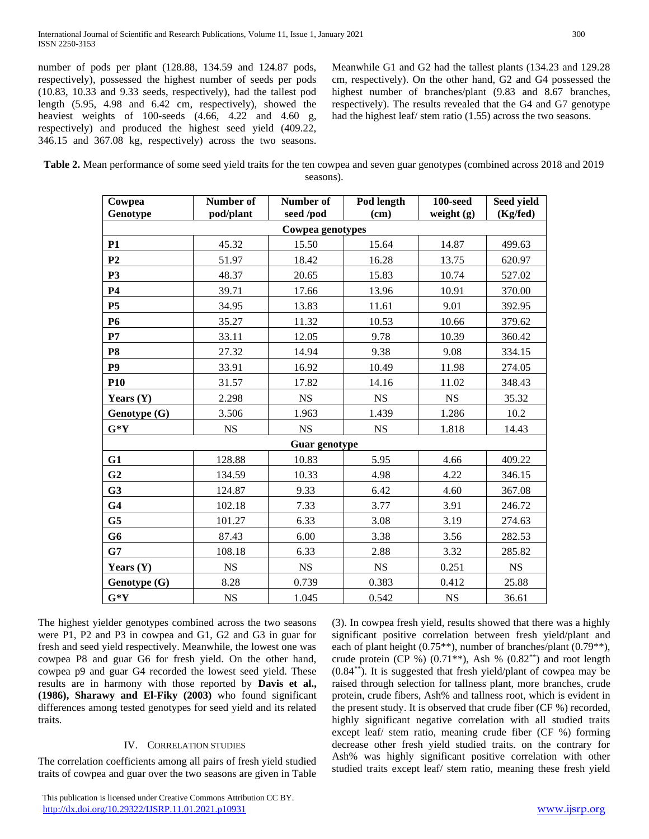**Number of pod/plant**

number of pods per plant (128.88, 134.59 and 124.87 pods, respectively), possessed the highest number of seeds per pods (10.83, 10.33 and 9.33 seeds, respectively), had the tallest pod length (5.95, 4.98 and 6.42 cm, respectively), showed the heaviest weights of 100-seeds (4.66, 4.22 and 4.60 g, respectively) and produced the highest seed yield (409.22, 346.15 and 367.08 kg, respectively) across the two seasons.

> **Cowpea Genotype**

Meanwhile G1 and G2 had the tallest plants (134.23 and 129.28 cm, respectively). On the other hand, G2 and G4 possessed the highest number of branches/plant (9.83 and 8.67 branches, respectively). The results revealed that the G4 and G7 genotype had the highest leaf/ stem ratio (1.55) across the two seasons.

> **100-seed weight (g)**

**Seed yield (Kg/fed)**

**Table 2.** Mean performance of some seed yield traits for the ten cowpea and seven guar genotypes (combined across 2018 and 2019 seasons).

**Pod length (cm)**

**Number of seed /pod**

| n con and occupied respectively. Mean while, the follow one was        | $\alpha$ or $\beta$ and $\alpha$ is $\beta$ and $\beta$ and $\beta$ and $\alpha$ is $\alpha$ is $\beta$ and $\beta$ and $\beta$ and $\beta$ and $\beta$ and $\beta$ and $\beta$ and $\beta$ and $\beta$ and $\beta$ and $\beta$ and $\beta$ and $\beta$ and $\beta$ and $\beta$ and $\beta$ and $\beta$ and |
|------------------------------------------------------------------------|-------------------------------------------------------------------------------------------------------------------------------------------------------------------------------------------------------------------------------------------------------------------------------------------------------------|
| cowpea P8 and guar G6 for fresh yield. On the other hand,              | crude protein (CP %) $(0.71^{**})$ , Ash % $(0.82^{**})$ and root length                                                                                                                                                                                                                                    |
| cowpea p9 and guar G4 recorded the lowest seed yield. These            | $(0.84^{**})$ . It is suggested that fresh yield/plant of cowpea may be                                                                                                                                                                                                                                     |
| results are in harmony with those reported by Davis et al.,            | raised through selection for tallness plant, more branches, crude                                                                                                                                                                                                                                           |
| $(1986)$ , Sharawy and El-Fiky $(2003)$ who found significant          | protein, crude fibers, Ash% and tallness root, which is evident in                                                                                                                                                                                                                                          |
| differences among tested genotypes for seed yield and its related      | the present study. It is observed that crude fiber (CF %) recorded,                                                                                                                                                                                                                                         |
| traits.                                                                | highly significant negative correlation with all studied traits                                                                                                                                                                                                                                             |
|                                                                        | except leaf/ stem ratio, meaning crude fiber (CF %) forming                                                                                                                                                                                                                                                 |
| <b>IV. CORRELATION STUDIES</b>                                         | decrease other fresh yield studied traits, on the contrary for                                                                                                                                                                                                                                              |
| The correlation coefficients among all pairs of fresh yield studied    | Ash% was highly significant positive correlation with other<br>studied traits except leaf/ stem ratio, meaning these fresh yield                                                                                                                                                                            |
| traits of cowpea and guar over the two seasons are given in Table      |                                                                                                                                                                                                                                                                                                             |
| This publication is licensed under Creative Commons Attribution CC BY. |                                                                                                                                                                                                                                                                                                             |
| http://dx.doi.org/10.29322/IJSRP.11.01.2021.p10931                     | www.ijsrp.org                                                                                                                                                                                                                                                                                               |
|                                                                        |                                                                                                                                                                                                                                                                                                             |

The highest yielder genotypes combined across the two seasons were P1, P2 and P3 in cowpea and G1, G2 and G3 in guar for fresh and seed yield respectively. Meanwhile, the lowest one was

| the present study. It is observed that crude fiber (CF %) recorded, |
|---------------------------------------------------------------------|
| highly significant negative correlation with all studied traits     |
| except leaf/ stem ratio, meaning crude fiber (CF %) forming         |
| decrease other fresh yield studied traits, on the contrary for      |
| Ash% was highly significant positive correlation with other         |
| studied traits except leaf/stem ratio, meaning these fresh yield    |
|                                                                     |
|                                                                     |

(3). In cowpea fresh yield, results showed that there was a highly significant positive correlation between fresh yield/plant and each of plant height (0.75\*\*), number of branches/plant (0.79\*\*),

|                |           | Cowpea genotypes     |           |           |           |
|----------------|-----------|----------------------|-----------|-----------|-----------|
| <b>P1</b>      | 45.32     | 15.50                | 15.64     | 14.87     | 499.63    |
| P <sub>2</sub> | 51.97     | 18.42                | 16.28     | 13.75     | 620.97    |
| <b>P3</b>      | 48.37     | 20.65                | 15.83     | 10.74     | 527.02    |
| <b>P4</b>      | 39.71     | 17.66                | 13.96     | 10.91     | 370.00    |
| <b>P5</b>      | 34.95     | 13.83                | 11.61     | 9.01      | 392.95    |
| <b>P6</b>      | 35.27     | 11.32                | 10.53     | 10.66     | 379.62    |
| P7             | 33.11     | 12.05                | 9.78      | 10.39     | 360.42    |
| P <sub>8</sub> | 27.32     | 14.94                | 9.38      | 9.08      | 334.15    |
| P <sub>9</sub> | 33.91     | 16.92                | 10.49     | 11.98     | 274.05    |
| <b>P10</b>     | 31.57     | 17.82                | 14.16     | 11.02     | 348.43    |
| Years $(Y)$    | 2.298     | <b>NS</b>            | <b>NS</b> | <b>NS</b> | 35.32     |
| Genotype (G)   | 3.506     | 1.963                | 1.439     | 1.286     | 10.2      |
| $G^*Y$         | <b>NS</b> | <b>NS</b>            | <b>NS</b> | 1.818     | 14.43     |
|                |           | <b>Guar genotype</b> |           |           |           |
| G1             | 128.88    | 10.83                | 5.95      | 4.66      | 409.22    |
| G <sub>2</sub> | 134.59    | 10.33                | 4.98      | 4.22      | 346.15    |
| G3             | 124.87    | 9.33                 | 6.42      | 4.60      | 367.08    |
| G <sub>4</sub> | 102.18    | 7.33                 | 3.77      | 3.91      | 246.72    |
| G <sub>5</sub> | 101.27    | 6.33                 | 3.08      | 3.19      | 274.63    |
| G6             | 87.43     | 6.00                 | 3.38      | 3.56      | 282.53    |
| G7             | 108.18    | 6.33                 | 2.88      | 3.32      | 285.82    |
| Years $(Y)$    | <b>NS</b> | <b>NS</b>            | <b>NS</b> | 0.251     | <b>NS</b> |
| Genotype (G)   | 8.28      | 0.739                | 0.383     | 0.412     | 25.88     |
| $G^*Y$         | <b>NS</b> | 1.045                | 0.542     | <b>NS</b> | 36.61     |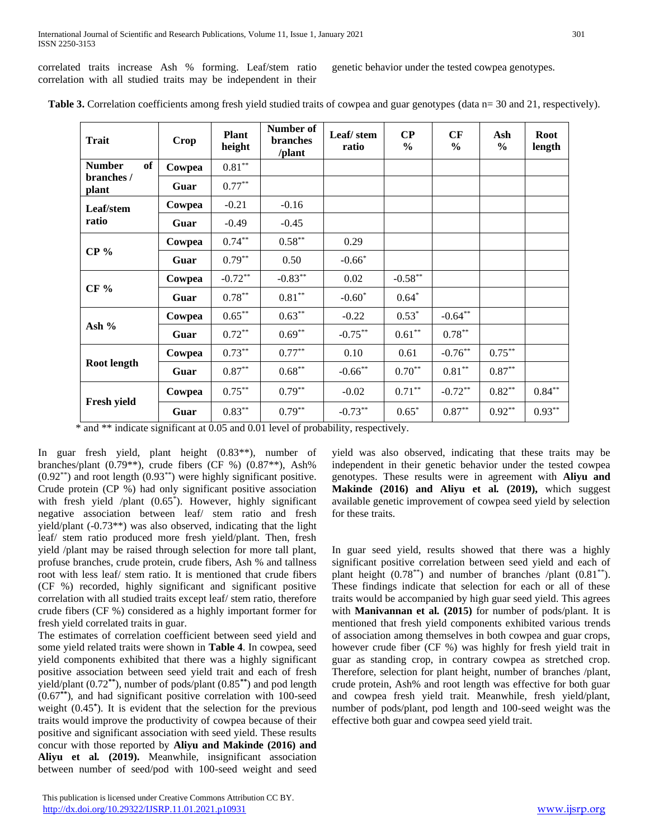correlated traits increase Ash % forming. Leaf/stem ratio correlation with all studied traits may be independent in their

genetic behavior under the tested cowpea genotypes.

| <b>Trait</b>               | <b>Crop</b> | <b>Plant</b><br>height | Number of<br><b>branches</b><br>/plant | Leaf/stem<br>ratio | $\bf CP$<br>$\frac{0}{0}$ | CF<br>$\frac{6}{6}$ | Ash<br>$\frac{6}{9}$ | Root<br>length |
|----------------------------|-------------|------------------------|----------------------------------------|--------------------|---------------------------|---------------------|----------------------|----------------|
| <b>of</b><br><b>Number</b> | Cowpea      | $0.81***$              |                                        |                    |                           |                     |                      |                |
| branches /<br>plant        | Guar        | $0.77***$              |                                        |                    |                           |                     |                      |                |
| Leaf/stem                  | Cowpea      | $-0.21$                | $-0.16$                                |                    |                           |                     |                      |                |
| ratio                      | Guar        | $-0.49$                | $-0.45$                                |                    |                           |                     |                      |                |
| CP <sub>96</sub>           | Cowpea      | $0.74***$              | $0.58***$                              | 0.29               |                           |                     |                      |                |
|                            | Guar        | $0.79***$              | 0.50                                   | $-0.66*$           |                           |                     |                      |                |
|                            | Cowpea      | $-0.72**$              | $-0.83***$                             | 0.02               | $-0.58**$                 |                     |                      |                |
| $CF\%$                     | Guar        | $0.78***$              | $0.81***$                              | $-0.60*$           | $0.64*$                   |                     |                      |                |
|                            | Cowpea      | $0.65***$              | $0.63***$                              | $-0.22$            | $0.53*$                   | $-0.64**$           |                      |                |
| Ash $%$                    | Guar        | $0.72***$              | $0.69**$                               | $-0.75***$         | $0.61**$                  | $0.78***$           |                      |                |
|                            | Cowpea      | $0.73***$              | $0.77***$                              | 0.10               | 0.61                      | $-0.76***$          | $0.75***$            |                |
| Root length                | Guar        | $0.87**$               | $0.68***$                              | $-0.66$ **         | $0.70**$                  | $0.81***$           | $0.87**$             |                |
|                            | Cowpea      | $0.75***$              | $0.79***$                              | $-0.02$            | $0.71***$                 | $-0.72**$           | $0.82**$             | $0.84***$      |
| Fresh yield                | Guar        | $0.83***$              | $0.79***$                              | $-0.73**$          | $0.65*$                   | $0.87**$            | $0.92**$             | $0.93***$      |

Table 3. Correlation coefficients among fresh yield studied traits of cowpea and guar genotypes (data n= 30 and 21, respectively).

\* and \*\* indicate significant at 0.05 and 0.01 level of probability, respectively.

In guar fresh yield, plant height (0.83\*\*), number of branches/plant (0.79\*\*), crude fibers (CF %) (0.87\*\*), Ash%  $(0.92^{**})$  and root length  $(0.93^{**})$  were highly significant positive. Crude protein (CP %) had only significant positive association with fresh yield /plant (0.65<sup>\*</sup>). However, highly significant negative association between leaf/ stem ratio and fresh yield/plant (-0.73\*\*) was also observed, indicating that the light leaf/ stem ratio produced more fresh yield/plant. Then, fresh yield /plant may be raised through selection for more tall plant, profuse branches, crude protein, crude fibers, Ash % and tallness root with less leaf/ stem ratio. It is mentioned that crude fibers (CF %) recorded, highly significant and significant positive correlation with all studied traits except leaf/ stem ratio, therefore crude fibers (CF %) considered as a highly important former for fresh yield correlated traits in guar.

The estimates of correlation coefficient between seed yield and some yield related traits were shown in **Table 4**. In cowpea, seed yield components exhibited that there was a highly significant positive association between seed yield trait and each of fresh yield/plant (0.72**\*\***), number of pods/plant (0.85**\*\***) and pod length (0.67**\*\***), and had significant positive correlation with 100-seed weight (0.45**\*** ). It is evident that the selection for the previous traits would improve the productivity of cowpea because of their positive and significant association with seed yield. These results concur with those reported by **Aliyu and Makinde (2016) and Aliyu et al***.* **(2019).** Meanwhile, insignificant association between number of seed/pod with 100-seed weight and seed

 This publication is licensed under Creative Commons Attribution CC BY. <http://dx.doi.org/10.29322/IJSRP.11.01.2021.p10931> [www.ijsrp.org](http://ijsrp.org/)

yield was also observed, indicating that these traits may be independent in their genetic behavior under the tested cowpea genotypes. These results were in agreement with **Aliyu and Makinde (2016) and Aliyu et al***.* **(2019),** which suggest available genetic improvement of cowpea seed yield by selection for these traits.

In guar seed yield, results showed that there was a highly significant positive correlation between seed yield and each of plant height  $(0.78^{**})$  and number of branches /plant  $(0.81^{**})$ . These findings indicate that selection for each or all of these traits would be accompanied by high guar seed yield. This agrees with **Manivannan et al***.* **(2015)** for number of pods/plant. It is mentioned that fresh yield components exhibited various trends of association among themselves in both cowpea and guar crops, however crude fiber (CF %) was highly for fresh yield trait in guar as standing crop, in contrary cowpea as stretched crop. Therefore, selection for plant height, number of branches /plant, crude protein, Ash% and root length was effective for both guar and cowpea fresh yield trait. Meanwhile, fresh yield/plant, number of pods/plant, pod length and 100-seed weight was the effective both guar and cowpea seed yield trait.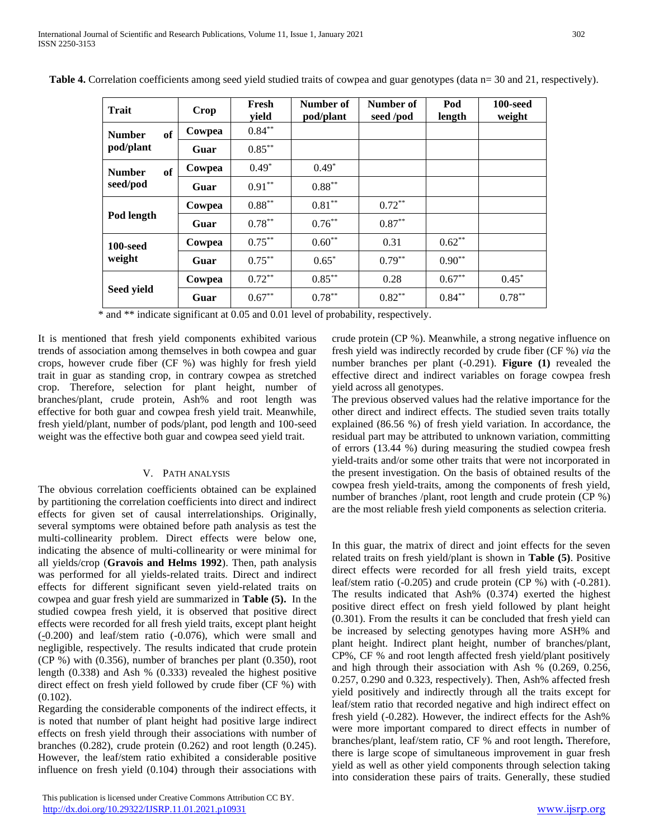| <b>Trait</b>        | Crop   | Fresh<br>vield | Number of<br>pod/plant | Number of<br>seed /pod | Pod<br>length | 100-seed<br>weight |
|---------------------|--------|----------------|------------------------|------------------------|---------------|--------------------|
| of<br><b>Number</b> | Cowpea | $0.84***$      |                        |                        |               |                    |
| pod/plant           | Guar   | $0.85***$      |                        |                        |               |                    |
| of<br><b>Number</b> | Cowpea | $0.49*$        | $0.49*$                |                        |               |                    |
| seed/pod            | Guar   | $0.91***$      | $0.88***$              |                        |               |                    |
|                     | Cowpea | $0.88***$      | $0.81***$              | $0.72***$              |               |                    |
| Pod length          | Guar   | $0.78***$      | $0.76***$              | $0.87**$               |               |                    |
| 100-seed            | Cowpea | $0.75***$      | $0.60**$               | 0.31                   | $0.62**$      |                    |
| weight              | Guar   | $0.75***$      | $0.65*$                | $0.79***$              | $0.90**$      |                    |
|                     | Cowpea | $0.72***$      | $0.85***$              | 0.28                   | $0.67**$      | $0.45*$            |
| Seed yield          | Guar   | $0.67**$       | $0.78***$              | $0.82**$               | $0.84***$     | $0.78***$          |

Table 4. Correlation coefficients among seed yield studied traits of cowpea and guar genotypes (data n= 30 and 21, respectively).

\* and \*\* indicate significant at 0.05 and 0.01 level of probability, respectively.

It is mentioned that fresh yield components exhibited various trends of association among themselves in both cowpea and guar crops, however crude fiber (CF %) was highly for fresh yield trait in guar as standing crop, in contrary cowpea as stretched crop. Therefore, selection for plant height, number of branches/plant, crude protein, Ash% and root length was effective for both guar and cowpea fresh yield trait. Meanwhile, fresh yield/plant, number of pods/plant, pod length and 100-seed weight was the effective both guar and cowpea seed yield trait.

#### V. PATH ANALYSIS

The obvious correlation coefficients obtained can be explained by partitioning the correlation coefficients into direct and indirect effects for given set of causal interrelationships. Originally, several symptoms were obtained before path analysis as test the multi-collinearity problem. Direct effects were below one, indicating the absence of multi-collinearity or were minimal for all yields/crop (**Gravois and Helms 1992**). Then, path analysis was performed for all yields-related traits. Direct and indirect effects for different significant seven yield-related traits on cowpea and guar fresh yield are summarized in **Table (5).** In the studied cowpea fresh yield, it is observed that positive direct effects were recorded for all fresh yield traits, except plant height (*-*0.200) and leaf/stem ratio (-0.076), which were small and negligible, respectively. The results indicated that crude protein (CP %) with (0.356), number of branches per plant (0.350), root length (0.338) and Ash % (0.333) revealed the highest positive direct effect on fresh yield followed by crude fiber (CF %) with (0.102).

Regarding the considerable components of the indirect effects, it is noted that number of plant height had positive large indirect effects on fresh yield through their associations with number of branches (0.282), crude protein (0.262) and root length (0.245). However, the leaf/stem ratio exhibited a considerable positive influence on fresh yield (0.104) through their associations with

crude protein (CP %). Meanwhile, a strong negative influence on fresh yield was indirectly recorded by crude fiber (CF %) *via* the number branches per plant (-0.291). **Figure (1)** revealed the effective direct and indirect variables on forage cowpea fresh yield across all genotypes.

The previous observed values had the relative importance for the other direct and indirect effects. The studied seven traits totally explained (86.56 %) of fresh yield variation. In accordance, the residual part may be attributed to unknown variation, committing of errors (13.44 %) during measuring the studied cowpea fresh yield-traits and/or some other traits that were not incorporated in the present investigation. On the basis of obtained results of the cowpea fresh yield-traits, among the components of fresh yield, number of branches /plant, root length and crude protein (CP %) are the most reliable fresh yield components as selection criteria.

In this guar, the matrix of direct and joint effects for the seven related traits on fresh yield/plant is shown in **Table (5)**. Positive direct effects were recorded for all fresh yield traits, except leaf/stem ratio (-0.205) and crude protein (CP %) with (-0.281). The results indicated that Ash% (0.374) exerted the highest positive direct effect on fresh yield followed by plant height (0.301). From the results it can be concluded that fresh yield can be increased by selecting genotypes having more ASH% and plant height. Indirect plant height, number of branches/plant, CP%, CF % and root length affected fresh yield/plant positively and high through their association with Ash % (0.269, 0.256, 0.257, 0.290 and 0.323, respectively). Then, Ash% affected fresh yield positively and indirectly through all the traits except for leaf/stem ratio that recorded negative and high indirect effect on fresh yield (-0.282). However, the indirect effects for the Ash% were more important compared to direct effects in number of branches/plant, leaf/stem ratio, CF % and root length**.** Therefore, there is large scope of simultaneous improvement in guar fresh yield as well as other yield components through selection taking into consideration these pairs of traits. Generally, these studied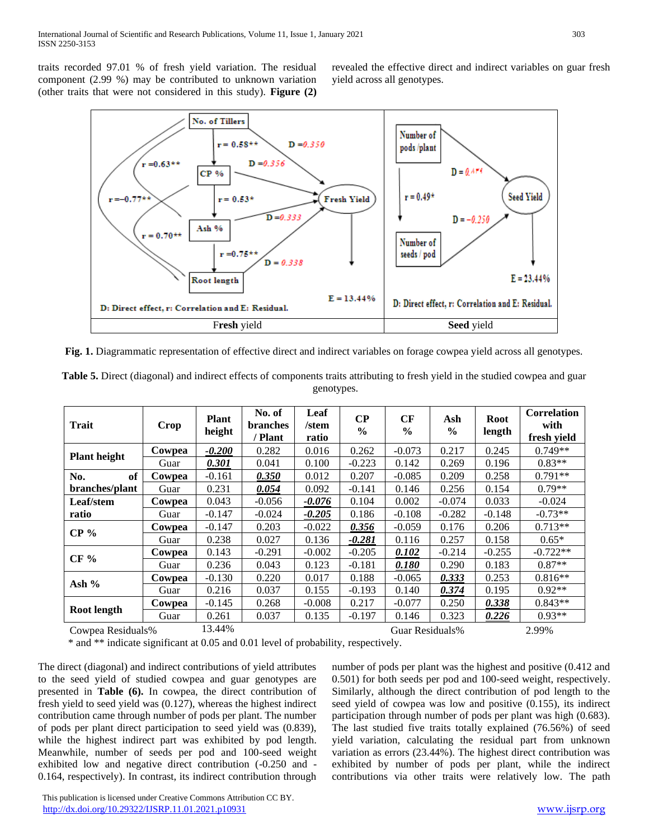traits recorded 97.01 % of fresh yield variation. The residual component (2.99 %) may be contributed to unknown variation (other traits that were not considered in this study). **Figure (2)**  revealed the effective direct and indirect variables on guar fresh yield across all genotypes.



**Fig. 1.** Diagrammatic representation of effective direct and indirect variables on forage cowpea yield across all genotypes.

| <b>Trait</b>        | Crop   | <b>Plant</b><br>height | No. of<br><b>branches</b><br>/ Plant | Leaf<br>/stem<br>ratio | $\bf CP$<br>$\frac{6}{6}$ | CF<br>$\frac{6}{9}$ | Ash<br>$\frac{6}{9}$ | <b>Root</b><br>length | <b>Correlation</b><br>with<br>fresh yield |
|---------------------|--------|------------------------|--------------------------------------|------------------------|---------------------------|---------------------|----------------------|-----------------------|-------------------------------------------|
| <b>Plant height</b> | Cowpea | $-0.200$               | 0.282                                | 0.016                  | 0.262                     | $-0.073$            | 0.217                | 0.245                 | $0.749**$                                 |
|                     | Guar   | 0.301                  | 0.041                                | 0.100                  | $-0.223$                  | 0.142               | 0.269                | 0.196                 | $0.83**$                                  |
| of<br>No.           | Cowpea | $-0.161$               | 0.350                                | 0.012                  | 0.207                     | $-0.085$            | 0.209                | 0.258                 | $0.791**$                                 |
| branches/plant      | Guar   | 0.231                  | 0.054                                | 0.092                  | $-0.141$                  | 0.146               | 0.256                | 0.154                 | $0.79**$                                  |
| Leaf/stem           | Cowpea | 0.043                  | $-0.056$                             | $-0.076$               | 0.104                     | 0.002               | $-0.074$             | 0.033                 | $-0.024$                                  |
| ratio               | Guar   | $-0.147$               | $-0.024$                             | $-0.205$               | 0.186                     | $-0.108$            | $-0.282$             | $-0.148$              | $-0.73**$                                 |
|                     | Cowpea | $-0.147$               | 0.203                                | $-0.022$               | 0.356                     | $-0.059$            | 0.176                | 0.206                 | $0.713**$                                 |
| $CP\%$              | Guar   | 0.238                  | 0.027                                | 0.136                  | $-0.281$                  | 0.116               | 0.257                | 0.158                 | $0.65*$                                   |
| $CF\%$              | Cowpea | 0.143                  | $-0.291$                             | $-0.002$               | $-0.205$                  | 0.102               | $-0.214$             | $-0.255$              | $-0.722**$                                |
|                     | Guar   | 0.236                  | 0.043                                | 0.123                  | $-0.181$                  | 0.180               | 0.290                | 0.183                 | $0.87**$                                  |
| Ash $%$             | Cowpea | $-0.130$               | 0.220                                | 0.017                  | 0.188                     | $-0.065$            | 0.333                | 0.253                 | $0.816**$                                 |
|                     | Guar   | 0.216                  | 0.037                                | 0.155                  | $-0.193$                  | 0.140               | 0.374                | 0.195                 | $0.92**$                                  |
|                     | Cowpea | $-0.145$               | 0.268                                | $-0.008$               | 0.217                     | $-0.077$            | 0.250                | 0.338                 | $0.843**$                                 |
| Root length         | Guar   | 0.261                  | 0.037                                | 0.135                  | $-0.197$                  | 0.146               | 0.323                | 0.226                 | $0.93**$                                  |
| Cowpea Residuals%   |        | 13.44%                 |                                      |                        |                           | Guar Residuals%     |                      |                       | 2.99%                                     |

**Table 5.** Direct (diagonal) and indirect effects of components traits attributing to fresh yield in the studied cowpea and guar genotypes.

\* and \*\* indicate significant at 0.05 and 0.01 level of probability, respectively.

The direct (diagonal) and indirect contributions of yield attributes to the seed yield of studied cowpea and guar genotypes are presented in **Table (6).** In cowpea, the direct contribution of fresh yield to seed yield was (0.127), whereas the highest indirect contribution came through number of pods per plant. The number of pods per plant direct participation to seed yield was (0.839), while the highest indirect part was exhibited by pod length. Meanwhile, number of seeds per pod and 100-seed weight exhibited low and negative direct contribution (-0.250 and - 0.164, respectively). In contrast, its indirect contribution through

number of pods per plant was the highest and positive (0.412 and 0.501) for both seeds per pod and 100-seed weight, respectively. Similarly, although the direct contribution of pod length to the seed yield of cowpea was low and positive (0.155), its indirect participation through number of pods per plant was high (0.683). The last studied five traits totally explained (76.56%) of seed yield variation, calculating the residual part from unknown variation as errors (23.44%). The highest direct contribution was exhibited by number of pods per plant, while the indirect contributions via other traits were relatively low. The path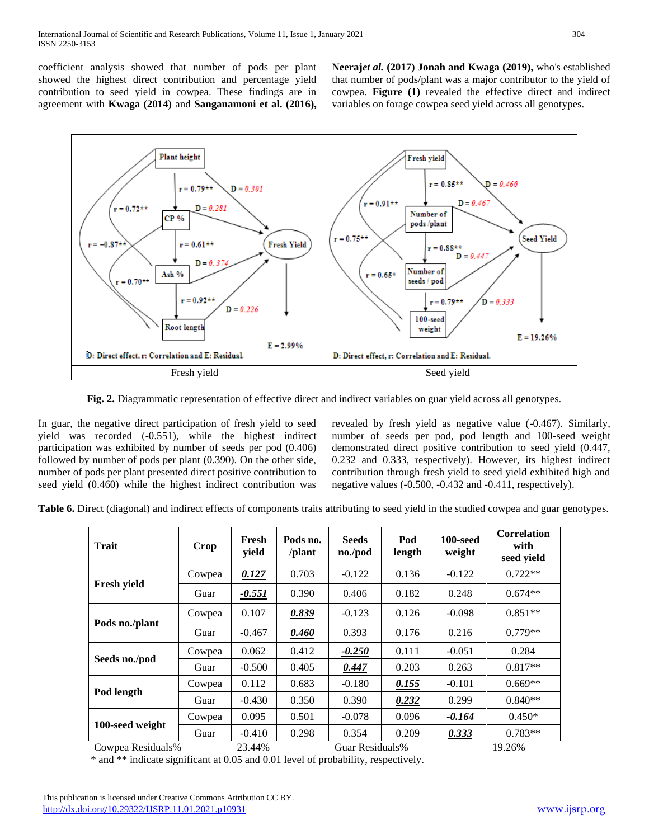coefficient analysis showed that number of pods per plant showed the highest direct contribution and percentage yield contribution to seed yield in cowpea. These findings are in agreement with **Kwaga (2014)** and **Sanganamoni et al. (2016),**  **Neeraj***et al.* **(2017) Jonah and Kwaga (2019),** who's established that number of pods/plant was a major contributor to the yield of cowpea. **Figure (1)** revealed the effective direct and indirect variables on forage cowpea seed yield across all genotypes.



**Fig. 2.** Diagrammatic representation of effective direct and indirect variables on guar yield across all genotypes.

In guar, the negative direct participation of fresh yield to seed yield was recorded (-0.551), while the highest indirect participation was exhibited by number of seeds per pod (0.406) followed by number of pods per plant (0.390). On the other side, number of pods per plant presented direct positive contribution to seed yield (0.460) while the highest indirect contribution was

revealed by fresh yield as negative value (-0.467). Similarly, number of seeds per pod, pod length and 100-seed weight demonstrated direct positive contribution to seed yield (0.447, 0.232 and 0.333, respectively). However, its highest indirect contribution through fresh yield to seed yield exhibited high and negative values (-0.500, -0.432 and -0.411, respectively).

**Table 6.** Direct (diagonal) and indirect effects of components traits attributing to seed yield in the studied cowpea and guar genotypes.

| <b>Trait</b>       | Crop   | Fresh<br>yield | Pods no.<br>/plant | <b>Seeds</b><br>no./pod | Pod<br>length | 100-seed<br>weight | <b>Correlation</b><br>with<br>seed vield |
|--------------------|--------|----------------|--------------------|-------------------------|---------------|--------------------|------------------------------------------|
|                    | Cowpea | 0.127          | 0.703              | $-0.122$                | 0.136         | $-0.122$           | $0.722**$                                |
| <b>Fresh vield</b> | Guar   | <u>-0.551</u>  | 0.390              | 0.406                   | 0.182         | 0.248              | $0.674**$                                |
| Pods no./plant     | Cowpea | 0.107          | 0.839              | $-0.123$                | 0.126         | $-0.098$           | $0.851**$                                |
|                    | Guar   | $-0.467$       | 0.460              | 0.393                   | 0.176         | 0.216              | $0.779**$                                |
|                    | Cowpea | 0.062          | 0.412              | $-0.250$                | 0.111         | $-0.051$           | 0.284                                    |
| Seeds no./pod      | Guar   | $-0.500$       | 0.405              | 0.447                   | 0.203         | 0.263              | $0.817**$                                |
| Pod length         | Cowpea | 0.112          | 0.683              | $-0.180$                | 0.155         | $-0.101$           | $0.669**$                                |
|                    | Guar   | $-0.430$       | 0.350              | 0.390                   | 0.232         | 0.299              | $0.840**$                                |
|                    | Cowpea | 0.095          | 0.501              | $-0.078$                | 0.096         | $-0.164$           | $0.450*$                                 |
| 100-seed weight    | Guar   | $-0.410$       | 0.298              | 0.354                   | 0.209         | 0.333              | $0.783**$                                |

Cowpea Residuals% 23.44% Guar Residuals% 19.26%

\* and \*\* indicate significant at 0.05 and 0.01 level of probability, respectively.

 This publication is licensed under Creative Commons Attribution CC BY. <http://dx.doi.org/10.29322/IJSRP.11.01.2021.p10931> [www.ijsrp.org](http://ijsrp.org/)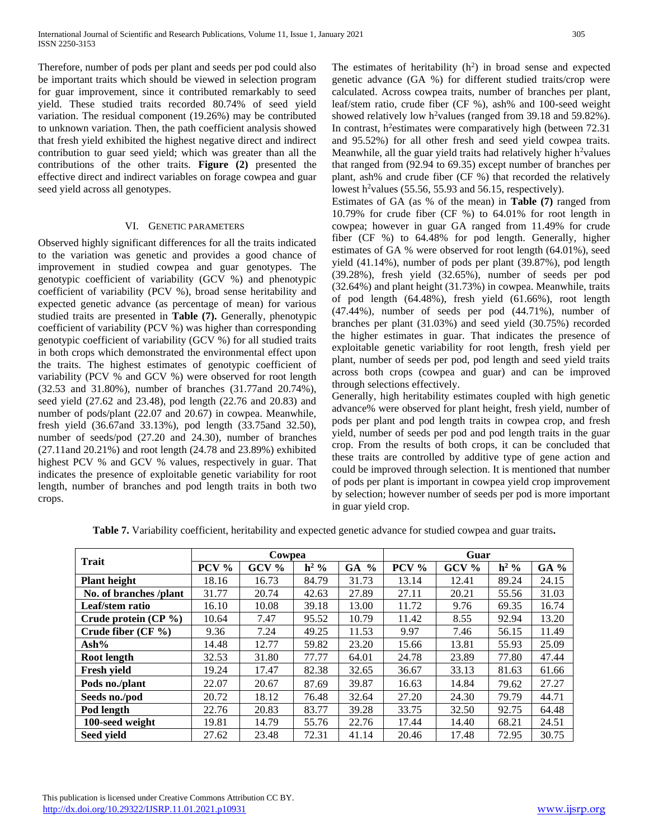Therefore, number of pods per plant and seeds per pod could also be important traits which should be viewed in selection program for guar improvement, since it contributed remarkably to seed yield. These studied traits recorded 80.74% of seed yield variation. The residual component (19.26%) may be contributed to unknown variation. Then, the path coefficient analysis showed that fresh yield exhibited the highest negative direct and indirect contribution to guar seed yield; which was greater than all the contributions of the other traits. **Figure (2)** presented the effective direct and indirect variables on forage cowpea and guar seed yield across all genotypes.

#### VI. GENETIC PARAMETERS

Observed highly significant differences for all the traits indicated to the variation was genetic and provides a good chance of improvement in studied cowpea and guar genotypes. The genotypic coefficient of variability (GCV %) and phenotypic coefficient of variability (PCV %), broad sense heritability and expected genetic advance (as percentage of mean) for various studied traits are presented in **Table (7).** Generally, phenotypic coefficient of variability (PCV %) was higher than corresponding genotypic coefficient of variability (GCV %) for all studied traits in both crops which demonstrated the environmental effect upon the traits. The highest estimates of genotypic coefficient of variability (PCV % and GCV %) were observed for root length (32.53 and 31.80%), number of branches (31.77and 20.74%), seed yield (27.62 and 23.48), pod length (22.76 and 20.83) and number of pods/plant (22.07 and 20.67) in cowpea. Meanwhile, fresh yield (36.67and 33.13%), pod length (33.75and 32.50), number of seeds/pod (27.20 and 24.30), number of branches (27.11and 20.21%) and root length (24.78 and 23.89%) exhibited highest PCV % and GCV % values, respectively in guar. That indicates the presence of exploitable genetic variability for root length, number of branches and pod length traits in both two crops.

The estimates of heritability  $(h^2)$  in broad sense and expected genetic advance (GA %) for different studied traits/crop were calculated. Across cowpea traits, number of branches per plant, leaf/stem ratio, crude fiber (CF %), ash% and 100-seed weight showed relatively low h<sup>2</sup>values (ranged from 39.18 and 59.82%). In contrast, h<sup>2</sup>estimates were comparatively high (between 72.31) and 95.52%) for all other fresh and seed yield cowpea traits. Meanwhile, all the guar yield traits had relatively higher  $h^2$ values that ranged from (92.94 to 69.35) except number of branches per plant, ash% and crude fiber (CF %) that recorded the relatively lowest h<sup>2</sup>values (55.56, 55.93 and 56.15, respectively).

Estimates of GA (as % of the mean) in **Table (7)** ranged from 10.79% for crude fiber (CF %) to 64.01% for root length in cowpea; however in guar GA ranged from 11.49% for crude fiber (CF %) to 64.48% for pod length. Generally, higher estimates of GA % were observed for root length (64.01%), seed yield (41.14%), number of pods per plant (39.87%), pod length (39.28%), fresh yield (32.65%), number of seeds per pod (32.64%) and plant height (31.73%) in cowpea. Meanwhile, traits of pod length (64.48%), fresh yield (61.66%), root length (47.44%), number of seeds per pod (44.71%), number of branches per plant (31.03%) and seed yield (30.75%) recorded the higher estimates in guar. That indicates the presence of exploitable genetic variability for root length, fresh yield per plant, number of seeds per pod, pod length and seed yield traits across both crops (cowpea and guar) and can be improved through selections effectively.

Generally, high heritability estimates coupled with high genetic advance% were observed for plant height, fresh yield, number of pods per plant and pod length traits in cowpea crop, and fresh yield, number of seeds per pod and pod length traits in the guar crop. From the results of both crops, it can be concluded that these traits are controlled by additive type of gene action and could be improved through selection. It is mentioned that number of pods per plant is important in cowpea yield crop improvement by selection; however number of seeds per pod is more important in guar yield crop.

| <b>Trait</b>            |         | Cowpea  |         |                     | Guar  |         |         |       |
|-------------------------|---------|---------|---------|---------------------|-------|---------|---------|-------|
|                         | $PCV\%$ | $GCV\%$ | $h^2$ % | GA<br>$\frac{0}{0}$ | PCV % | $GCV\%$ | $h^2$ % | GA %  |
| <b>Plant height</b>     | 18.16   | 16.73   | 84.79   | 31.73               | 13.14 | 12.41   | 89.24   | 24.15 |
| No. of branches /plant  | 31.77   | 20.74   | 42.63   | 27.89               | 27.11 | 20.21   | 55.56   | 31.03 |
| Leaf/stem ratio         | 16.10   | 10.08   | 39.18   | 13.00               | 11.72 | 9.76    | 69.35   | 16.74 |
| Crude protein $(CP \%)$ | 10.64   | 7.47    | 95.52   | 10.79               | 11.42 | 8.55    | 92.94   | 13.20 |
| Crude fiber $(CF \%)$   | 9.36    | 7.24    | 49.25   | 11.53               | 9.97  | 7.46    | 56.15   | 11.49 |
| $\mathbf{Ash\%}$        | 14.48   | 12.77   | 59.82   | 23.20               | 15.66 | 13.81   | 55.93   | 25.09 |
| Root length             | 32.53   | 31.80   | 77.77   | 64.01               | 24.78 | 23.89   | 77.80   | 47.44 |
| <b>Fresh yield</b>      | 19.24   | 17.47   | 82.38   | 32.65               | 36.67 | 33.13   | 81.63   | 61.66 |
| Pods no./plant          | 22.07   | 20.67   | 87.69   | 39.87               | 16.63 | 14.84   | 79.62   | 27.27 |
| Seeds no./pod           | 20.72   | 18.12   | 76.48   | 32.64               | 27.20 | 24.30   | 79.79   | 44.71 |
| Pod length              | 22.76   | 20.83   | 83.77   | 39.28               | 33.75 | 32.50   | 92.75   | 64.48 |
| 100-seed weight         | 19.81   | 14.79   | 55.76   | 22.76               | 17.44 | 14.40   | 68.21   | 24.51 |
| Seed yield              | 27.62   | 23.48   | 72.31   | 41.14               | 20.46 | 17.48   | 72.95   | 30.75 |

**Table 7.** Variability coefficient, heritability and expected genetic advance for studied cowpea and guar traits**.**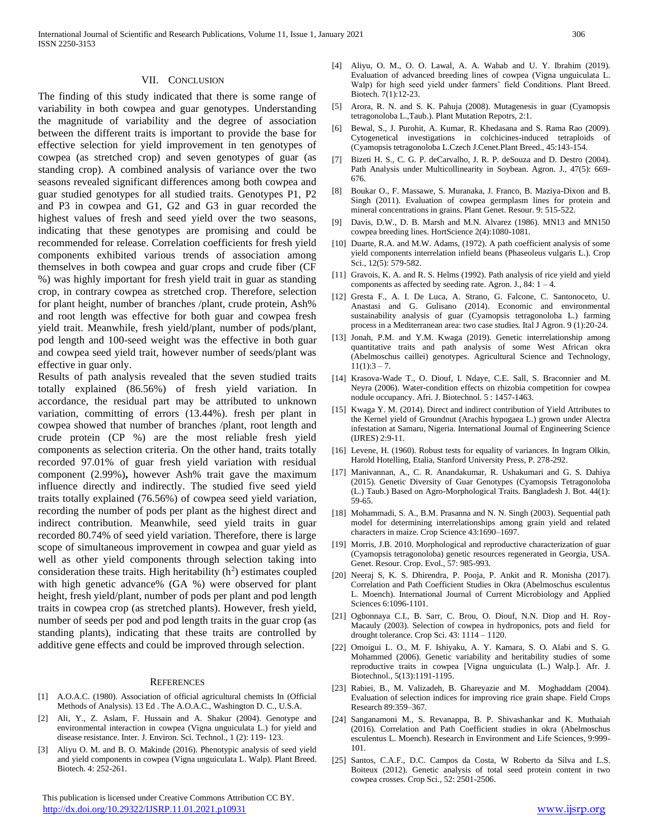#### VII. CONCLUSION

The finding of this study indicated that there is some range of variability in both cowpea and guar genotypes. Understanding the magnitude of variability and the degree of association between the different traits is important to provide the base for effective selection for yield improvement in ten genotypes of cowpea (as stretched crop) and seven genotypes of guar (as standing crop). A combined analysis of variance over the two seasons revealed significant differences among both cowpea and guar studied genotypes for all studied traits. Genotypes P1, P2 and P3 in cowpea and G1, G2 and G3 in guar recorded the highest values of fresh and seed yield over the two seasons, indicating that these genotypes are promising and could be recommended for release. Correlation coefficients for fresh yield components exhibited various trends of association among themselves in both cowpea and guar crops and crude fiber (CF %) was highly important for fresh yield trait in guar as standing crop, in contrary cowpea as stretched crop. Therefore, selection for plant height, number of branches /plant, crude protein, Ash% and root length was effective for both guar and cowpea fresh yield trait. Meanwhile, fresh yield/plant, number of pods/plant, pod length and 100-seed weight was the effective in both guar and cowpea seed yield trait, however number of seeds/plant was effective in guar only.

Results of path analysis revealed that the seven studied traits totally explained (86.56%) of fresh yield variation. In accordance, the residual part may be attributed to unknown variation, committing of errors (13.44%). fresh per plant in cowpea showed that number of branches /plant, root length and crude protein (CP %) are the most reliable fresh yield components as selection criteria. On the other hand, traits totally recorded 97.01% of guar fresh yield variation with residual component (2.99%)**,** however Ash% trait gave the maximum influence directly and indirectly. The studied five seed yield traits totally explained (76.56%) of cowpea seed yield variation, recording the number of pods per plant as the highest direct and indirect contribution. Meanwhile, seed yield traits in guar recorded 80.74% of seed yield variation. Therefore, there is large scope of simultaneous improvement in cowpea and guar yield as well as other yield components through selection taking into consideration these traits. High heritability  $(h^2)$  estimates coupled with high genetic advance% (GA %) were observed for plant height, fresh yield/plant, number of pods per plant and pod length traits in cowpea crop (as stretched plants). However, fresh yield, number of seeds per pod and pod length traits in the guar crop (as standing plants), indicating that these traits are controlled by additive gene effects and could be improved through selection.

#### **REFERENCES**

- [1] A.O.A.C. (1980). Association of official agricultural chemists In (Official Methods of Analysis). 13 Ed . The A.O.A.C., Washington D. C., U.S.A.
- [2] Ali, Y., Z. Aslam, F. Hussain and A. Shakur (2004). Genotype and environmental interaction in cowpea (Vigna unguiculata L.) for yield and disease resistance. Inter. J. Environ. Sci. Technol., 1 (2): 119- 123.
- [3] Aliyu O. M. and B. O. Makinde (2016). Phenotypic analysis of seed yield and yield components in cowpea (Vigna unguiculata L. Walp). Plant Breed. Biotech. 4: 252-261.

 This publication is licensed under Creative Commons Attribution CC BY. <http://dx.doi.org/10.29322/IJSRP.11.01.2021.p10931> [www.ijsrp.org](http://ijsrp.org/)

- [4] Aliyu, O. M., O. O. Lawal, A. A. Wahab and U. Y. Ibrahim (2019). Evaluation of advanced breeding lines of cowpea (Vigna unguiculata L. Walp) for high seed yield under farmers' field Conditions. Plant Breed. Biotech. 7(1):12-23.
- [5] Arora, R. N. and S. K. Pahuja (2008). Mutagenesis in guar (Cyamopsis tetragonoloba L.,Taub.). Plant Mutation Repotrs, 2:1.
- [6] Bewal, S., J. Purohit, A. Kumar, R. Khedasana and S. Rama Rao (2009). Cytogenetical investigations in colchicines-induced tetraploids of (Cyamopsis tetragonoloba L.Czech J.Cenet.Plant Breed., 45:143-154.
- [7] Bizeti H. S., C. G. P. deCarvalho, J. R. P. deSouza and D. Destro (2004). Path Analysis under Multicollinearity in Soybean. Agron. J., 47(5): 669- 676.
- [8] Boukar O., F. Massawe, S. Muranaka, J. Franco, B. Maziya-Dixon and B. Singh (2011). Evaluation of cowpea germplasm lines for protein and mineral concentrations in grains. Plant Genet. Resour. 9: 515-522.
- [9] Davis, D.W., D. B. Marsh and M.N. Alvarez (1986). MN13 and MN150 cowpea breeding lines. HortScience 2(4):1080-1081.
- [10] Duarte, R.A. and M.W. Adams, (1972). A path coefficient analysis of some yield components interrelation infield beans (Phaseoleus vulgaris L.). Crop Sci., 12(5): 579-582.
- [11] Gravois, K. A. and R. S. Helms (1992). Path analysis of rice yield and yield components as affected by seeding rate. Agron. J., 84:  $1 - 4$ .
- [12] Gresta F., A. I. De Luca, A. Strano, G. Falcone, C. Santonoceto, U. Anastasi and G. Gulisano (2014). Economic and environmental sustainability analysis of guar (Cyamopsis tetragonoloba L.) farming process in a Mediterranean area: two case studies. Ital J Agron. 9 (1):20-24.
- [13] Jonah, P.M. and Y.M. Kwaga (2019). Genetic interrelationship among quantitative traits and path analysis of some West African okra (Abelmoschus caillei) genotypes. Agricultural Science and Technology,  $11(1):3 - 7.$
- [14] Krasova-Wade T., O. Diouf, I. Ndaye, C.E. Sall, S. Braconnier and M. Neyra (2006). Water-condition effects on rhizobia competition for cowpea nodule occupancy. Afri. J. Biotechnol. 5 : 1457-1463.
- [15] Kwaga Y. M. (2014). Direct and indirect contribution of Yield Attributes to the Kernel yield of Groundnut (Arachis hypogaea L.) grown under Alectra infestation at Samaru, Nigeria. International Journal of Engineering Science (IJRES) 2:9-11.
- [16] Levene, H. (1960). Robust tests for equality of variances. In Ingram Olkin, Harold Hotelling, Etalia, Stanford University Press, P. 278-292.
- [17] Manivannan, A., C. R. Anandakumar, R. Ushakumari and G. S. Dahiya (2015). Genetic Diversity of Guar Genotypes (Cyamopsis Tetragonoloba (L.) Taub.) Based on Agro-Morphological Traits. Bangladesh J. Bot. 44(1): 59-65.
- [18] Mohammadi, S. A., B.M. Prasanna and N. N. Singh (2003). Sequential path model for determining interrelationships among grain yield and related characters in maize. Crop Science 43:1690–1697.
- [19] Morris, J.B. 2010. Morphological and reproductive characterization of guar (Cyamopsis tetragonoloba) genetic resources regenerated in Georgia, USA. Genet. Resour. Crop. Evol., 57: 985-993.
- [20] Neeraj S, K. S. Dhirendra, P. Pooja, P. Ankit and R. Monisha (2017). Correlation and Path Coefficient Studies in Okra (Abelmoschus esculentus L. Moench). International Journal of Current Microbiology and Applied Sciences 6:1096-1101.
- [21] Ogbonnaya C.I., B. Sarr, C. Brou, O. Diouf, N.N. Diop and H. Roy-Macauly (2003). Selection of cowpea in hydroponics, pots and field for drought tolerance. Crop Sci. 43: 1114 – 1120.
- [22] Omoigui L. O., M. F. Ishiyaku, A. Y. Kamara, S. O. Alabi and S. G. Mohammed (2006). Genetic variability and heritability studies of some reproductive traits in cowpea [Vigna unguiculata (L.) Walp.]. Afr. J. Biotechnol., 5(13):1191-1195.
- [23] Rabiei, B., M. Valizadeh, B. Ghareyazie and M. Moghaddam (2004). Evaluation of selection indices for improving rice grain shape. Field Crops Research 89:359–367.
- [24] Sanganamoni M., S. Revanappa, B. P. Shivashankar and K. Muthaiah (2016). Correlation and Path Coefficient studies in okra (Abelmoschus esculentus L. Moench). Research in Environment and Life Sciences, 9:999- 101.
- [25] Santos, C.A.F., D.C. Campos da Costa, W Roberto da Silva and L.S. Boiteux (2012). Genetic analysis of total seed protein content in two cowpea crosses. Crop Sci., 52: 2501-2506.